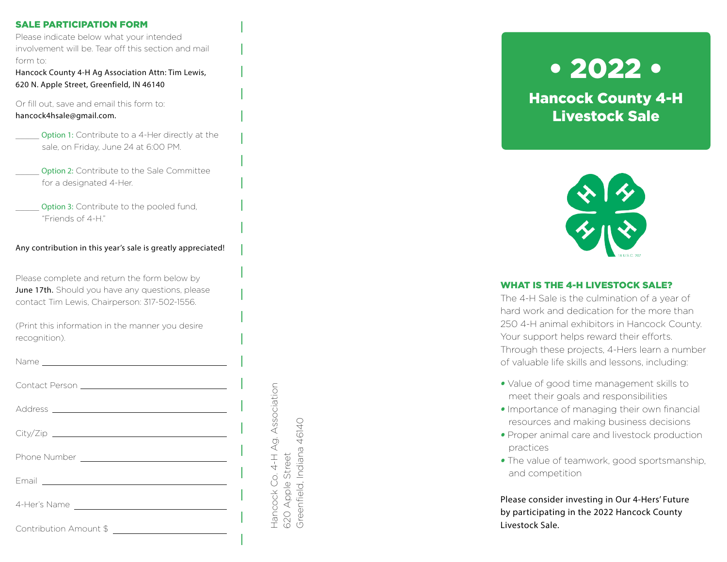## SALE PARTICIPATION FORM

Please indicate below what your intended involvement will be. Tear off this section and mail form to:

Hancock County 4-H Ag Association Attn: Tim Lewis, 620 N. Apple Street, Greenfield, IN 46140

Or fill out, save and email this form to: hancock4hsale@gmail.com.

- Option 1: Contribute to a 4-Her directly at the sale, on Friday, June 24 at 6:00 PM.
- **Option 2:** Contribute to the Sale Committee for a designated 4-Her.
- Option 3: Contribute to the pooled fund, "Friends of 4-H."

## Any contribution in this year's sale is greatly appreciated!

Please complete and return the form below by June 17th. Should you have any questions, please contact Tim Lewis, Chairperson: 317-502-1556.

(Print this information in the manner you desire recognition).

Name

|                        | Association |
|------------------------|-------------|
|                        |             |
|                        | 4-H Ag.     |
|                        |             |
|                        | Hancock Co. |
| Contribution Amount \$ |             |

620 Apple Street

520 Apple Greenfield,

Street

Greenfield, Indiana 46140

Indiana 46140

• 2022 •

Hancock County 4-H Livestock Sale



# WHAT IS THE 4-H LIVESTOCK SALE?

The 4-H Sale is the culmination of a year of hard work and dedication for the more than 250 4-H animal exhibitors in Hancock County. Your support helps reward their efforts. Through these projects, 4-Hers learn a number of valuable life skills and lessons, including:

- *•* Value of good time management skills to meet their goals and responsibilities
- *•* Importance of managing their own financial resources and making business decisions
- *•* Proper animal care and livestock production practices
- *•* The value of teamwork, good sportsmanship, and competition

Please consider investing in Our 4-Hers' Future by participating in the 2022 Hancock County Livestock Sale.